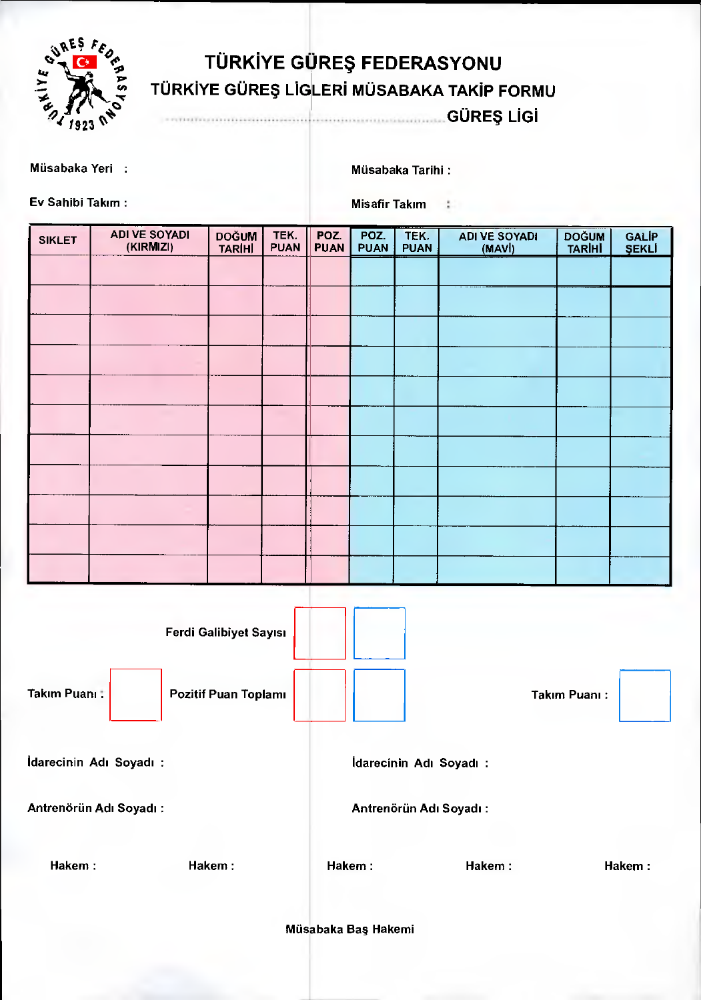

## **TÜRKIYE GÜREŞ FEDERASYONU TÜRKİYE GÜREŞ LİGLERİ MÜSABAKA TAKİP FORMU**

**GÜREŞ LİGİ**  an salah karajaan dari dari salah d

Müsabaka Yeri : Müsabaka Tarihi :

Ev Sahibi Takım : Misafir Takım : Misafir Takım : Misafir Takım : Misafir Takım : Misafir Takım : Misafir Takım :  $\mathcal{R} = \mathcal{R} \cup \mathcal{R}$ 

| <b>SIKLET</b> | <b>ADI VE SOYADI</b><br>(KIRMIZI) | <b>DOĞUM</b><br><b>TARÍHÍ</b> | TEK.<br><b>PUAN</b> | POZ.<br><b>PUAN</b> | POZ.<br><b>PUAN</b> | TEK.<br><b>PUAN</b> | <b>ADI VE SOYADI</b><br>(MAVI) | <b>DOĞUM</b><br>TARİHİ | <b>GALIP</b><br><b>SEKLI</b> |
|---------------|-----------------------------------|-------------------------------|---------------------|---------------------|---------------------|---------------------|--------------------------------|------------------------|------------------------------|
|               |                                   |                               |                     |                     |                     |                     |                                |                        |                              |
|               |                                   |                               |                     |                     |                     |                     |                                |                        |                              |
|               |                                   |                               |                     |                     |                     |                     |                                |                        |                              |
|               |                                   |                               |                     |                     |                     |                     |                                |                        |                              |
|               |                                   |                               |                     |                     |                     |                     |                                |                        |                              |
|               |                                   |                               |                     |                     |                     |                     |                                |                        |                              |
|               |                                   |                               |                     |                     |                     |                     |                                |                        |                              |
|               |                                   |                               |                     |                     |                     |                     |                                |                        |                              |
|               |                                   |                               |                     |                     |                     |                     |                                |                        |                              |
|               |                                   |                               |                     |                     |                     |                     |                                |                        |                              |
|               |                                   |                               |                     |                     |                     |                     |                                |                        |                              |

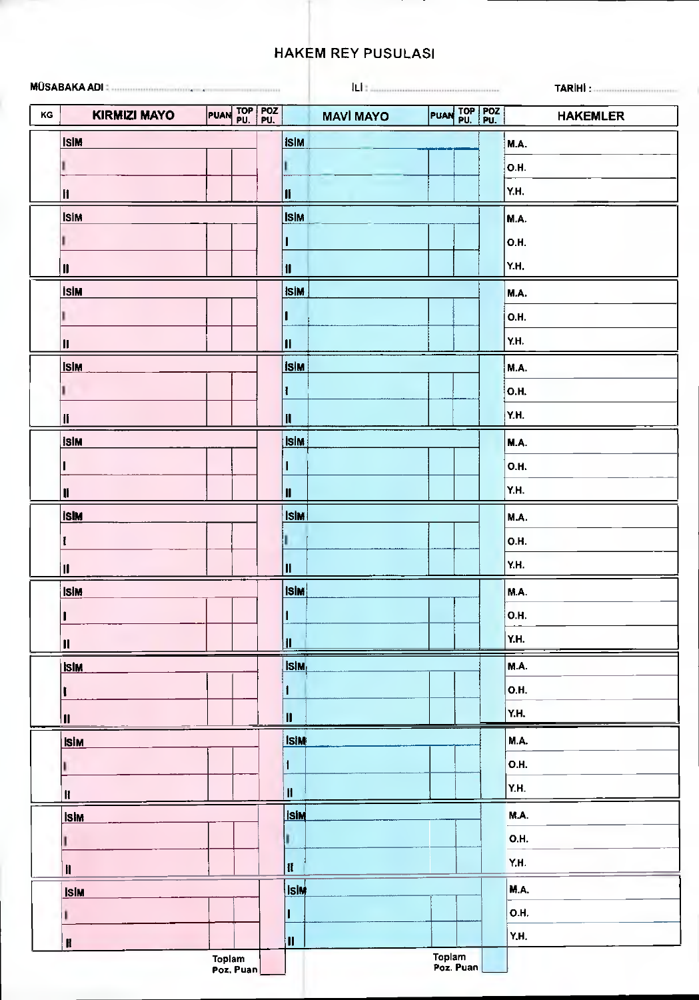## **HAKEM REY PUSULASI**

|    |                                                                                                                                                                                                                                                                                                                                                                                                                         |                     |                          |                  | ILI : Antonini in antonini in continuum |                 |
|----|-------------------------------------------------------------------------------------------------------------------------------------------------------------------------------------------------------------------------------------------------------------------------------------------------------------------------------------------------------------------------------------------------------------------------|---------------------|--------------------------|------------------|-----------------------------------------|-----------------|
| KG | <b>KIRMIZI MAYO</b>                                                                                                                                                                                                                                                                                                                                                                                                     | PUAN TOP POZ        |                          | <b>MAVİ MAYO</b> | PUAN TOP POZ                            | <b>HAKEMLER</b> |
|    | <b>IslM</b>                                                                                                                                                                                                                                                                                                                                                                                                             |                     | <b>ISIM</b>              |                  |                                         | <b>M.A.</b>     |
|    | ı                                                                                                                                                                                                                                                                                                                                                                                                                       |                     |                          |                  |                                         | <b>O.H.</b>     |
|    | $\mathbf{H}$                                                                                                                                                                                                                                                                                                                                                                                                            |                     | II                       |                  |                                         | Y.H.            |
|    | <b>ISIM</b>                                                                                                                                                                                                                                                                                                                                                                                                             |                     | <b>ISIM</b>              |                  |                                         | M.A.            |
|    | ı                                                                                                                                                                                                                                                                                                                                                                                                                       |                     |                          |                  |                                         | <b>O.H.</b>     |
|    | $\blacksquare$                                                                                                                                                                                                                                                                                                                                                                                                          |                     | $\overline{\mathbf{1}}$  |                  |                                         | Y.H.            |
|    | <b>İSİM</b>                                                                                                                                                                                                                                                                                                                                                                                                             |                     | <b>ISIM</b>              |                  |                                         | <b>M.A.</b>     |
|    | I.                                                                                                                                                                                                                                                                                                                                                                                                                      |                     |                          |                  |                                         | <b>O.H.</b>     |
|    |                                                                                                                                                                                                                                                                                                                                                                                                                         |                     |                          |                  |                                         |                 |
|    | $\mathbf{I}$                                                                                                                                                                                                                                                                                                                                                                                                            |                     | $\vert \mathbf{l} \vert$ |                  |                                         | Y.H.            |
|    | <b>ISIM</b>                                                                                                                                                                                                                                                                                                                                                                                                             |                     | <b>Isim</b>              |                  |                                         | M.A.            |
|    | J                                                                                                                                                                                                                                                                                                                                                                                                                       |                     | I                        |                  |                                         | <b>O.H.</b>     |
|    | $\mathbf{I}$                                                                                                                                                                                                                                                                                                                                                                                                            |                     | $\mathbf{II}$            |                  |                                         | Y.H.            |
|    | <b>IslM</b>                                                                                                                                                                                                                                                                                                                                                                                                             |                     | <b>islM</b>              |                  |                                         | M.A.            |
|    |                                                                                                                                                                                                                                                                                                                                                                                                                         |                     |                          |                  |                                         | <b>O.H.</b>     |
|    | $\blacksquare$                                                                                                                                                                                                                                                                                                                                                                                                          |                     | $\mathbf{I}$             |                  |                                         | Y.H.            |
|    | <b>ISIM</b>                                                                                                                                                                                                                                                                                                                                                                                                             |                     | <b>İsim</b>              |                  |                                         | <b>M.A.</b>     |
|    | I                                                                                                                                                                                                                                                                                                                                                                                                                       |                     |                          |                  |                                         | <b>O.H.</b>     |
|    | $\pmb{\text{II}}$                                                                                                                                                                                                                                                                                                                                                                                                       |                     | M                        |                  |                                         | Y.H.            |
|    | <b>ISIM</b>                                                                                                                                                                                                                                                                                                                                                                                                             |                     | <b>ISIM</b>              |                  |                                         | M.A.            |
|    | $\overline{\mathbf{I}}$                                                                                                                                                                                                                                                                                                                                                                                                 |                     | $\vert$ 1 $\vert$        |                  |                                         | <b>O.H.</b>     |
|    |                                                                                                                                                                                                                                                                                                                                                                                                                         |                     |                          |                  |                                         | Y.H.            |
|    | $\mathbf{II}$                                                                                                                                                                                                                                                                                                                                                                                                           |                     | $\mathbf{II}$            |                  |                                         |                 |
|    | <b>ISIM</b>                                                                                                                                                                                                                                                                                                                                                                                                             |                     | Isim,                    |                  |                                         | <b>M.A.</b>     |
|    | Į                                                                                                                                                                                                                                                                                                                                                                                                                       |                     | 1                        |                  |                                         | <b>O.H.</b>     |
|    | $\blacksquare$                                                                                                                                                                                                                                                                                                                                                                                                          |                     | $\mathbf{II}$            |                  |                                         | Y.H.            |
|    | <b>ISIM</b>                                                                                                                                                                                                                                                                                                                                                                                                             |                     | <b>ISIM</b>              |                  |                                         | <b>M.A.</b>     |
|    |                                                                                                                                                                                                                                                                                                                                                                                                                         |                     | $\mathbf{1}$             |                  |                                         | <b>O.H.</b>     |
|    | $\mathbf H$                                                                                                                                                                                                                                                                                                                                                                                                             |                     | $\blacksquare$           |                  |                                         | Y.H.            |
|    | <b>IslM</b>                                                                                                                                                                                                                                                                                                                                                                                                             |                     | <b>Isim</b>              |                  |                                         | M.A.            |
|    |                                                                                                                                                                                                                                                                                                                                                                                                                         |                     |                          |                  |                                         | <b>O.H.</b>     |
|    | $\mathbf{H}% =\mathbf{H}+\mathbf{H}+\mathbf{H}+\mathbf{H}+\mathbf{H}+\mathbf{H}+\mathbf{H}+\mathbf{H}+\mathbf{H}+\mathbf{H}+\mathbf{H}+\mathbf{H}+\mathbf{H}+\mathbf{H}+\mathbf{H}+\mathbf{H}+\mathbf{H}+\mathbf{H}+\mathbf{H}+\mathbf{H}+\mathbf{H}+\mathbf{H}+\mathbf{H}+\mathbf{H}+\mathbf{H}+\mathbf{H}+\mathbf{H}+\mathbf{H}+\mathbf{H}+\mathbf{H}+\mathbf{H}+\mathbf{H}+\mathbf{H}+\mathbf{H}+\mathbf{H}+\mathbf$ |                     | H                        |                  |                                         | Y.H.            |
|    | <b>ISIM</b>                                                                                                                                                                                                                                                                                                                                                                                                             |                     | <b>IslM</b>              |                  |                                         | M.A.            |
|    | Ŧ                                                                                                                                                                                                                                                                                                                                                                                                                       |                     |                          |                  |                                         | <b>O.H.</b>     |
|    |                                                                                                                                                                                                                                                                                                                                                                                                                         |                     |                          |                  |                                         | Y.H.            |
|    | $\pmb{\mathbb{H}}$                                                                                                                                                                                                                                                                                                                                                                                                      | Toplam<br>Poz. Puan | T                        |                  | Toplam<br>Poz. Puan                     |                 |